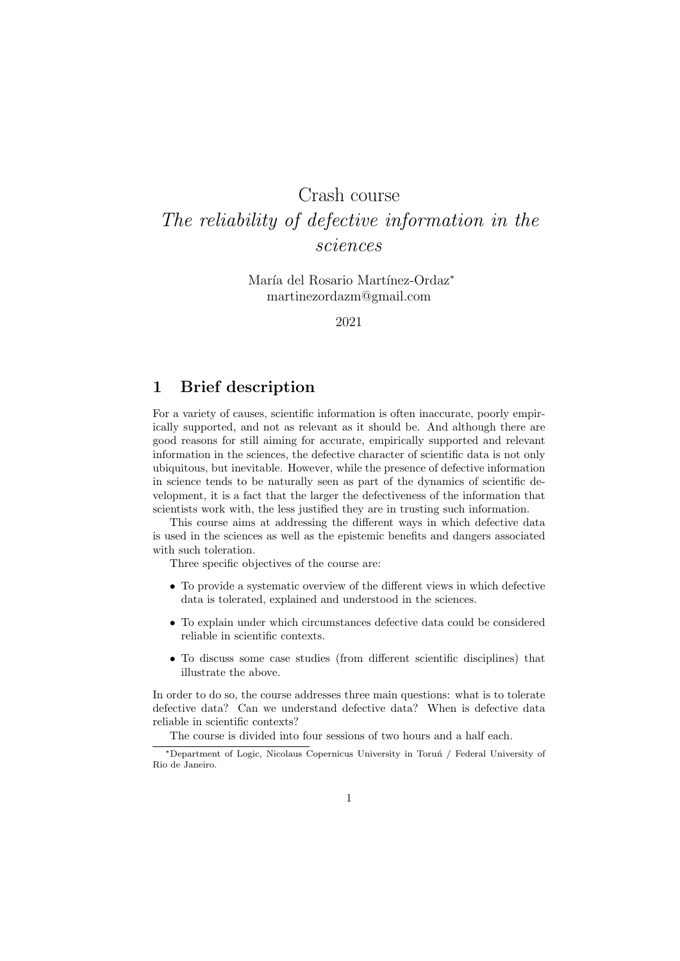# Crash course The reliability of defective information in the sciences

María del Rosario Martínez-Ordaz<sup>∗</sup> martinezordazm@gmail.com

2021

### 1 Brief description

For a variety of causes, scientific information is often inaccurate, poorly empirically supported, and not as relevant as it should be. And although there are good reasons for still aiming for accurate, empirically supported and relevant information in the sciences, the defective character of scientific data is not only ubiquitous, but inevitable. However, while the presence of defective information in science tends to be naturally seen as part of the dynamics of scientific development, it is a fact that the larger the defectiveness of the information that scientists work with, the less justified they are in trusting such information.

This course aims at addressing the different ways in which defective data is used in the sciences as well as the epistemic benefits and dangers associated with such toleration.

Three specific objectives of the course are:

- To provide a systematic overview of the different views in which defective data is tolerated, explained and understood in the sciences.
- To explain under which circumstances defective data could be considered reliable in scientific contexts.
- To discuss some case studies (from different scientific disciplines) that illustrate the above.

In order to do so, the course addresses three main questions: what is to tolerate defective data? Can we understand defective data? When is defective data reliable in scientific contexts?

The course is divided into four sessions of two hours and a half each.

<sup>\*</sup>Department of Logic, Nicolaus Copernicus University in Toruń / Federal University of Rio de Janeiro.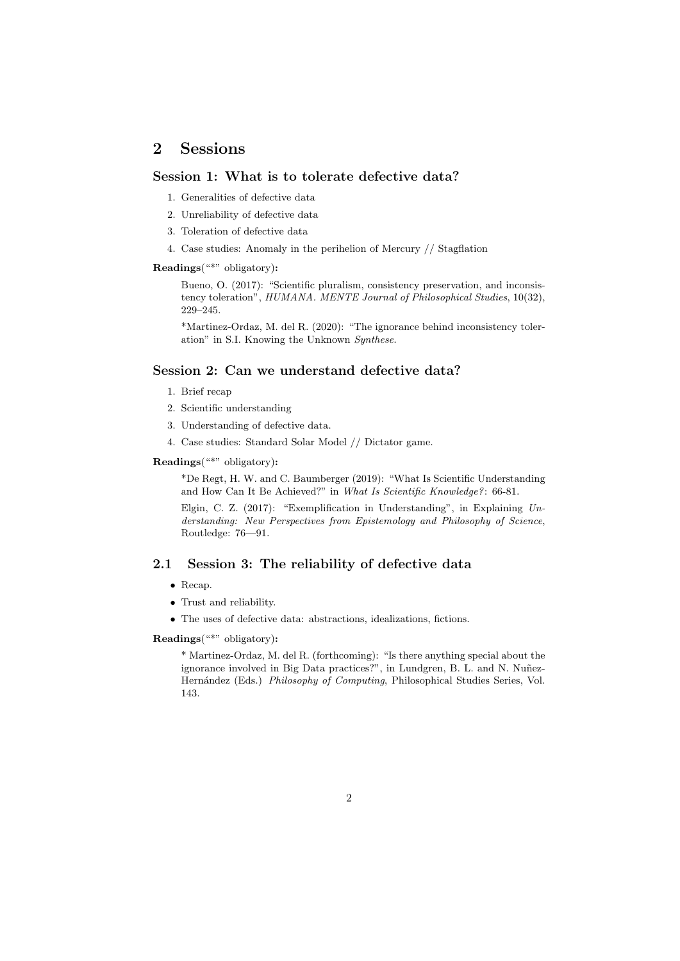## 2 Sessions

#### Session 1: What is to tolerate defective data?

- 1. Generalities of defective data
- 2. Unreliability of defective data
- 3. Toleration of defective data
- 4. Case studies: Anomaly in the perihelion of Mercury // Stagflation

#### Readings("\*" obligatory):

Bueno, O. (2017): "Scientific pluralism, consistency preservation, and inconsistency toleration", HUMANA. MENTE Journal of Philosophical Studies, 10(32), 229–245.

\*Martinez-Ordaz, M. del R. (2020): "The ignorance behind inconsistency toleration" in S.I. Knowing the Unknown Synthese.

#### Session 2: Can we understand defective data?

- 1. Brief recap
- 2. Scientific understanding
- 3. Understanding of defective data.
- 4. Case studies: Standard Solar Model // Dictator game.

#### Readings("\*" obligatory):

\*De Regt, H. W. and C. Baumberger (2019): "What Is Scientific Understanding and How Can It Be Achieved?" in What Is Scientific Knowledge?: 66-81.

Elgin, C. Z. (2017): "Exemplification in Understanding", in Explaining Understanding: New Perspectives from Epistemology and Philosophy of Science, Routledge: 76—91.

#### 2.1 Session 3: The reliability of defective data

- Recap.
- Trust and reliability.
- $\bullet~$  The uses of defective data: abstractions, idealizations, fictions.

Readings("\*" obligatory):

\* Martinez-Ordaz, M. del R. (forthcoming): "Is there anything special about the ignorance involved in Big Data practices?", in Lundgren, B. L. and N. Nuñez-Hernández (Eds.) Philosophy of Computing, Philosophical Studies Series, Vol. 143.